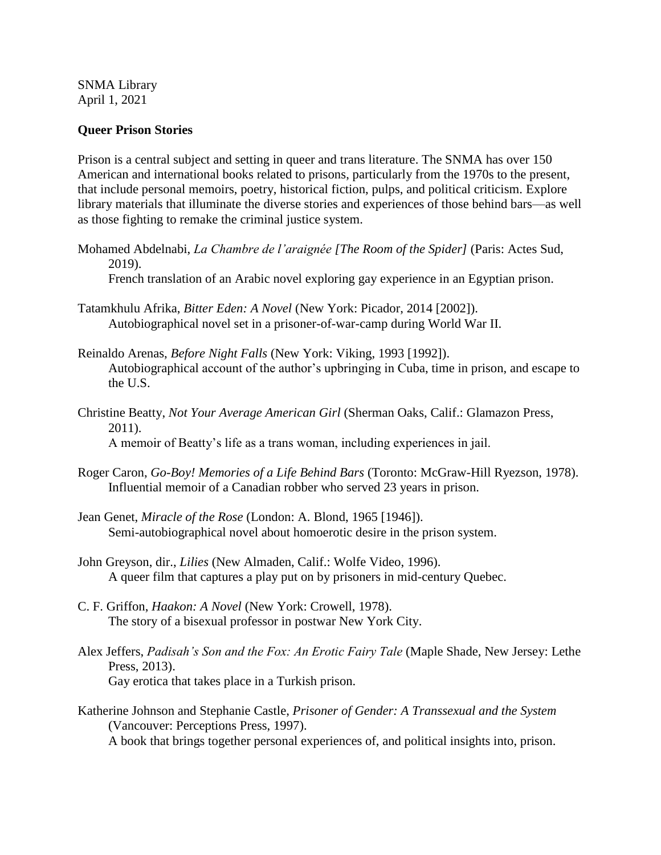SNMA Library April 1, 2021

## **Queer Prison Stories**

Prison is a central subject and setting in queer and trans literature. The SNMA has over 150 American and international books related to prisons, particularly from the 1970s to the present, that include personal memoirs, poetry, historical fiction, pulps, and political criticism. Explore library materials that illuminate the diverse stories and experiences of those behind bars—as well as those fighting to remake the criminal justice system.

Mohamed Abdelnabi, *La Chambre de l'araignée [The Room of the Spider]* (Paris: Actes Sud, 2019).

French translation of an Arabic novel exploring gay experience in an Egyptian prison.

- Tatamkhulu Afrika, *Bitter Eden: A Novel* (New York: Picador, 2014 [2002]). Autobiographical novel set in a prisoner-of-war-camp during World War II.
- Reinaldo Arenas, *Before Night Falls* (New York: Viking, 1993 [1992]). Autobiographical account of the author's upbringing in Cuba, time in prison, and escape to the U.S.
- Christine Beatty, *Not Your Average American Girl* (Sherman Oaks, Calif.: Glamazon Press, 2011). A memoir of Beatty's life as a trans woman, including experiences in jail.
- Roger Caron, *Go-Boy! Memories of a Life Behind Bars* (Toronto: McGraw-Hill Ryezson, 1978). Influential memoir of a Canadian robber who served 23 years in prison.
- Jean Genet, *Miracle of the Rose* (London: A. Blond, 1965 [1946]). Semi-autobiographical novel about homoerotic desire in the prison system.
- John Greyson, dir., *Lilies* (New Almaden, Calif.: Wolfe Video, 1996). A queer film that captures a play put on by prisoners in mid-century Quebec.
- C. F. Griffon, *Haakon: A Novel* (New York: Crowell, 1978). The story of a bisexual professor in postwar New York City.
- Alex Jeffers, *Padisah's Son and the Fox: An Erotic Fairy Tale* (Maple Shade, New Jersey: Lethe Press, 2013). Gay erotica that takes place in a Turkish prison.
- Katherine Johnson and Stephanie Castle, *Prisoner of Gender: A Transsexual and the System*  (Vancouver: Perceptions Press, 1997). A book that brings together personal experiences of, and political insights into, prison.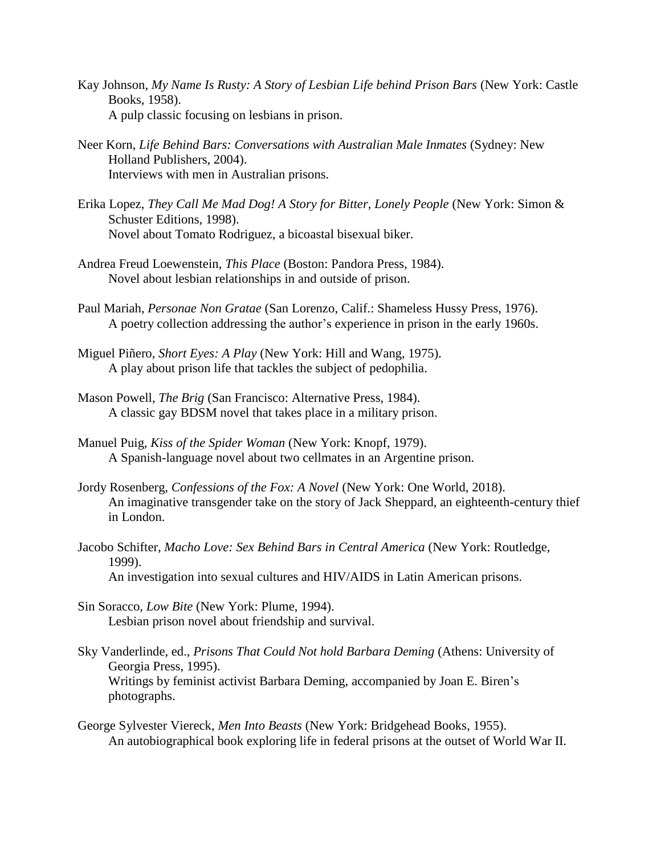- Kay Johnson, *My Name Is Rusty: A Story of Lesbian Life behind Prison Bars* (New York: Castle Books, 1958). A pulp classic focusing on lesbians in prison.
- Neer Korn, *Life Behind Bars: Conversations with Australian Male Inmates* (Sydney: New Holland Publishers, 2004). Interviews with men in Australian prisons.
- Erika Lopez, *They Call Me Mad Dog! A Story for Bitter, Lonely People* (New York: Simon & Schuster Editions, 1998). Novel about Tomato Rodriguez, a bicoastal bisexual biker.
- Andrea Freud Loewenstein, *This Place* (Boston: Pandora Press, 1984). Novel about lesbian relationships in and outside of prison.
- Paul Mariah, *Personae Non Gratae* (San Lorenzo, Calif.: Shameless Hussy Press, 1976). A poetry collection addressing the author's experience in prison in the early 1960s.
- Miguel Piñero, *Short Eyes: A Play* (New York: Hill and Wang, 1975). A play about prison life that tackles the subject of pedophilia.
- Mason Powell, *The Brig* (San Francisco: Alternative Press, 1984). A classic gay BDSM novel that takes place in a military prison.
- Manuel Puig, *Kiss of the Spider Woman* (New York: Knopf, 1979). A Spanish-language novel about two cellmates in an Argentine prison.
- Jordy Rosenberg, *Confessions of the Fox: A Novel* (New York: One World, 2018). An imaginative transgender take on the story of Jack Sheppard, an eighteenth-century thief in London.
- Jacobo Schifter, *Macho Love: Sex Behind Bars in Central America* (New York: Routledge, 1999). An investigation into sexual cultures and HIV/AIDS in Latin American prisons.
- Sin Soracco, *Low Bite* (New York: Plume, 1994). Lesbian prison novel about friendship and survival.
- Sky Vanderlinde, ed., *Prisons That Could Not hold Barbara Deming* (Athens: University of Georgia Press, 1995). Writings by feminist activist Barbara Deming, accompanied by Joan E. Biren's photographs.
- George Sylvester Viereck, *Men Into Beasts* (New York: Bridgehead Books, 1955). An autobiographical book exploring life in federal prisons at the outset of World War II.